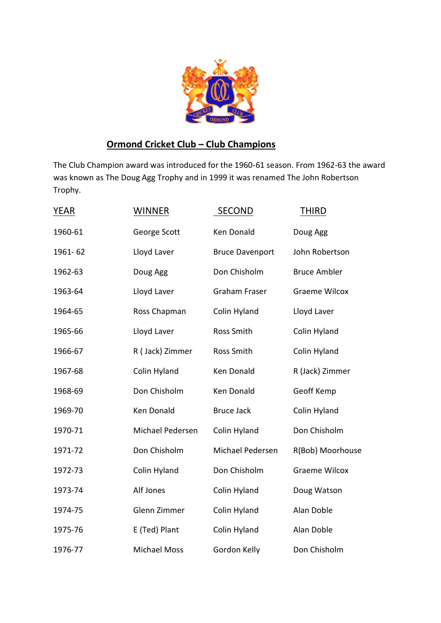

## **Ormond Cricket Club – Club Champions**

The Club Champion award was introduced for the 1960-61 season. From 1962-63 the award was known as The Doug Agg Trophy and in 1999 it was renamed The John Robertson Trophy.

| YEAR    | <b>WINNER</b>       | <b>SECOND</b>          | <b>THIRD</b>         |
|---------|---------------------|------------------------|----------------------|
| 1960-61 | George Scott        | Ken Donald             | Doug Agg             |
| 1961-62 | Lloyd Laver         | <b>Bruce Davenport</b> | John Robertson       |
| 1962-63 | Doug Agg            | Don Chisholm           | <b>Bruce Ambler</b>  |
| 1963-64 | Lloyd Laver         | <b>Graham Fraser</b>   | <b>Graeme Wilcox</b> |
| 1964-65 | Ross Chapman        | Colin Hyland           | Lloyd Laver          |
| 1965-66 | Lloyd Laver         | Ross Smith             | Colin Hyland         |
| 1966-67 | R (Jack) Zimmer     | Ross Smith             | Colin Hyland         |
| 1967-68 | Colin Hyland        | <b>Ken Donald</b>      | R (Jack) Zimmer      |
| 1968-69 | Don Chisholm        | Ken Donald             | Geoff Kemp           |
| 1969-70 | <b>Ken Donald</b>   | <b>Bruce Jack</b>      | Colin Hyland         |
| 1970-71 | Michael Pedersen    | Colin Hyland           | Don Chisholm         |
| 1971-72 | Don Chisholm        | Michael Pedersen       | R(Bob) Moorhouse     |
| 1972-73 | Colin Hyland        | Don Chisholm           | <b>Graeme Wilcox</b> |
| 1973-74 | Alf Jones           | Colin Hyland           | Doug Watson          |
| 1974-75 | Glenn Zimmer        | Colin Hyland           | Alan Doble           |
| 1975-76 | E (Ted) Plant       | Colin Hyland           | Alan Doble           |
| 1976-77 | <b>Michael Moss</b> | Gordon Kelly           | Don Chisholm         |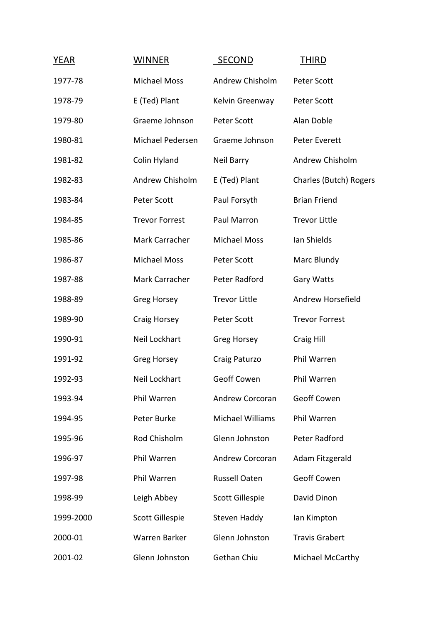| YEAR      | <b>WINNER</b>          | <b>SECOND</b>           | THIRD                  |
|-----------|------------------------|-------------------------|------------------------|
| 1977-78   | <b>Michael Moss</b>    | Andrew Chisholm         | Peter Scott            |
| 1978-79   | E (Ted) Plant          | Kelvin Greenway         | Peter Scott            |
| 1979-80   | Graeme Johnson         | Peter Scott             | Alan Doble             |
| 1980-81   | Michael Pedersen       | Graeme Johnson          | Peter Everett          |
| 1981-82   | Colin Hyland           | Neil Barry              | Andrew Chisholm        |
| 1982-83   | Andrew Chisholm        | E (Ted) Plant           | Charles (Butch) Rogers |
| 1983-84   | Peter Scott            | Paul Forsyth            | <b>Brian Friend</b>    |
| 1984-85   | <b>Trevor Forrest</b>  | Paul Marron             | <b>Trevor Little</b>   |
| 1985-86   | Mark Carracher         | <b>Michael Moss</b>     | Ian Shields            |
| 1986-87   | <b>Michael Moss</b>    | Peter Scott             | Marc Blundy            |
| 1987-88   | Mark Carracher         | Peter Radford           | Gary Watts             |
| 1988-89   | <b>Greg Horsey</b>     | <b>Trevor Little</b>    | Andrew Horsefield      |
| 1989-90   | Craig Horsey           | Peter Scott             | <b>Trevor Forrest</b>  |
| 1990-91   | Neil Lockhart          | <b>Greg Horsey</b>      | Craig Hill             |
| 1991-92   | <b>Greg Horsey</b>     | Craig Paturzo           | Phil Warren            |
| 1992-93   | Neil Lockhart          | <b>Geoff Cowen</b>      | Phil Warren            |
| 1993-94   | Phil Warren            | <b>Andrew Corcoran</b>  | <b>Geoff Cowen</b>     |
| 1994-95   | Peter Burke            | <b>Michael Williams</b> | Phil Warren            |
| 1995-96   | Rod Chisholm           | Glenn Johnston          | Peter Radford          |
| 1996-97   | Phil Warren            | <b>Andrew Corcoran</b>  | Adam Fitzgerald        |
| 1997-98   | Phil Warren            | <b>Russell Oaten</b>    | <b>Geoff Cowen</b>     |
| 1998-99   | Leigh Abbey            | <b>Scott Gillespie</b>  | David Dinon            |
| 1999-2000 | <b>Scott Gillespie</b> | Steven Haddy            | lan Kimpton            |
| 2000-01   | <b>Warren Barker</b>   | Glenn Johnston          | <b>Travis Grabert</b>  |
| 2001-02   | Glenn Johnston         | Gethan Chiu             | Michael McCarthy       |